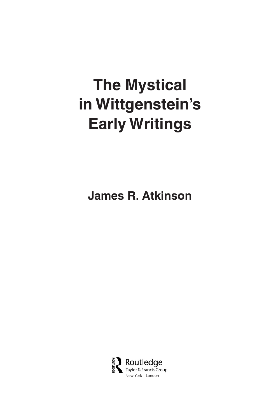# **The Mystical in Wittgenstein's Early Writings**

**James R. Atkinson**

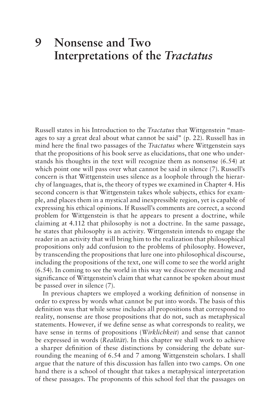# **9 Nonsense and Two Interpretations of the** *Tractatus*

Russell states in his Introduction to the *Tractatus* that Wittgenstein "manages to say a great deal about what cannot be said" (p. 22). Russell has in mind here the final two passages of the *Tractatus* where Wittgenstein says that the propositions of his book serve as elucidations, that one who understands his thoughts in the text will recognize them as nonsense (6.54) at which point one will pass over what cannot be said in silence (7). Russell's concern is that Wittgenstein uses silence as a loophole through the hierarchy of languages, that is, the theory of types we examined in Chapter 4. His second concern is that Wittgenstein takes whole subjects, ethics for example, and places them in a mystical and inexpressible region, yet is capable of expressing his ethical opinions. If Russell's comments are correct, a second problem for Wittgenstein is that he appears to present a doctrine, while claiming at 4.112 that philosophy is not a doctrine. In the same passage, he states that philosophy is an activity. Wittgenstein intends to engage the reader in an activity that will bring him to the realization that philosophical propositions only add confusion to the problems of philosophy. However, by transcending the propositions that lure one into philosophical discourse, including the propositions of the text, one will come to see the world aright (6.54). In coming to see the world in this way we discover the meaning and significance of Wittgenstein's claim that what cannot be spoken about must be passed over in silence (7).

In previous chapters we employed a working definition of nonsense in order to express by words what cannot be put into words. The basis of this definition was that while sense includes all propositions that correspond to reality, nonsense are those propositions that do not, such as metaphysical statements. However, if we define sense as what corresponds to reality, we have sense in terms of propositions (*Wirklichkeit*) and sense that cannot be expressed in words (*Realität*). In this chapter we shall work to achieve a sharper definition of these distinctions by considering the debate surrounding the meaning of 6.54 and 7 among Wittgenstein scholars. I shall argue that the nature of this discussion has fallen into two camps. On one hand there is a school of thought that takes a metaphysical interpretation of these passages. The proponents of this school feel that the passages on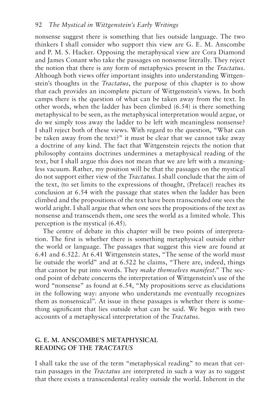nonsense suggest there is something that lies outside language. The two thinkers I shall consider who support this view are G. E. M. Anscombe and P. M. S. Hacker. Opposing the metaphysical view are Cora Diamond and James Conant who take the passages on nonsense literally. They reject the notion that there is any form of metaphysics present in the *Tractatus*. Although both views offer important insights into understanding Wittgenstein's thoughts in the *Tractatus*, the purpose of this chapter is to show that each provides an incomplete picture of Wittgenstein's views. In both camps there is the question of what can be taken away from the text. In other words, when the ladder has been climbed (6.54) is there something metaphysical to be seen, as the metaphysical interpretation would argue, or do we simply toss away the ladder to be left with meaningless nonsense? I shall reject both of these views. With regard to the question, "What can be taken away from the text?" it must be clear that we cannot take away a doctrine of any kind. The fact that Wittgenstein rejects the notion that philosophy contains doctrines undermines a metaphysical reading of the text, but I shall argue this does not mean that we are left with a meaningless vacuum. Rather, my position will be that the passages on the mystical do not support either view of the *Tractatus*. I shall conclude that the aim of the text, (to set limits to the expressions of thought, (Preface)) reaches its conclusion at 6.54 with the passage that states when the ladder has been climbed and the propositions of the text have been transcended one sees the world aright. I shall argue that when one sees the propositions of the text as nonsense and transcends them, one sees the world as a limited whole. This perception is the mystical (6.45).

The centre of debate in this chapter will be two points of interpretation. The first is whether there is something metaphysical outside either the world or language. The passages that suggest this view are found at 6.41 and 6.522. At 6.41 Wittgenstein states, "The sense of the world must lie outside the world" and at 6.522 he claims, "There are, indeed, things that cannot be put into words. They *make themselves manifest*." The second point of debate concerns the interpretation of Wittgenstein's use of the word "nonsense" as found at 6.54, "My propositions serve as elucidations in the following way: anyone who understands me eventually recognizes them as nonsensical". At issue in these passages is whether there is something significant that lies outside what can be said. We begin with two accounts of a metaphysical interpretation of the *Tractatus*.

# **G. E. M. ANSCOMBE'S METAPHYSICAL READING OF THE** *TRACTATUS*

I shall take the use of the term "metaphysical reading" to mean that certain passages in the *Tractatus* are interpreted in such a way as to suggest that there exists a transcendental reality outside the world. Inherent in the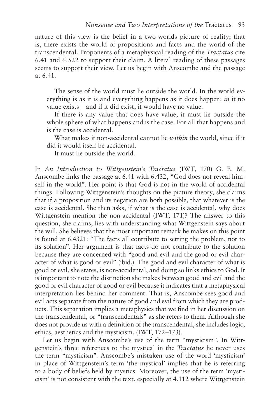nature of this view is the belief in a two-worlds picture of reality; that is, there exists the world of propositions and facts and the world of the transcendental. Proponents of a metaphysical reading of the *Tractatus* cite 6.41 and 6.522 to support their claim. A literal reading of these passages seems to support their view. Let us begin with Anscombe and the passage at 6.41.

The sense of the world must lie outside the world. In the world everything is as it is and everything happens as it does happen: *in* it no value exists—and if it did exist, it would have no value.

If there is any value that does have value, it must lie outside the whole sphere of what happens and is the case. For all that happens and is the case is accidental.

What makes it non-accidental cannot lie *within* the world, since if it did it would itself be accidental.

It must lie outside the world.

In *An Introduction to Wittgenstein's Tractatus* (IWT, 170) G. E. M. Anscombe links the passage at 6.41 with 6.432, "God does not reveal himself in the world". Her point is that God is not in the world of accidental things. Following Wittgenstein's thoughts on the picture theory, she claims that if a proposition and its negation are both possible, that whatever is the case is accidental. She then asks, if what is the case is accidental, why does Wittgenstein mention the non-accidental (IWT, 171)? The answer to this question, she claims, lies with understanding what Wittgenstein says about the will. She believes that the most important remark he makes on this point is found at 6.4321: "The facts all contribute to setting the problem, not to its solution". Her argument is that facts do not contribute to the solution because they are concerned with "good and evil and the good or evil character of what is good or evil" (ibid.). The good and evil character of what is good or evil, she states, is non-accidental, and doing so links ethics to God. It is important to note the distinction she makes between good and evil and the good or evil character of good or evil because it indicates that a metaphysical interpretation lies behind her comment. That is, Anscombe sees good and evil acts separate from the nature of good and evil from which they are products. This separation implies a metaphysics that we find in her discussion on the transcendental, or "transcendentals" as she refers to them. Although she does not provide us with a definition of the transcendental, she includes logic, ethics, aesthetics and the mysticism. (IWT, 172–173).

Let us begin with Anscombe's use of the term "mysticism". In Wittgenstein's three references to the mystical in the *Tractatus* he never uses the term "mysticism". Anscombe's mistaken use of the word 'mysticism' in place of Wittgenstein's term 'the mystical' implies that he is referring to a body of beliefs held by mystics. Moreover, the use of the term 'mysticism' is not consistent with the text, especially at 4.112 where Wittgenstein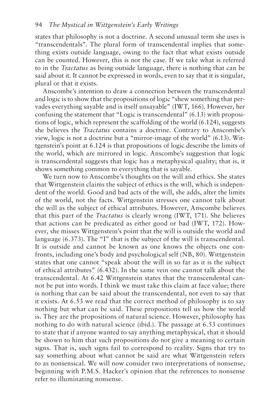#### 94 *The Mystical in Wittgenstein's Early Writings*

states that philosophy is not a doctrine. A second unusual term she uses is "transcendentals". The plural form of transcendental implies that something exists outside language, owing to the fact that what exists outside can be counted. However, this is not the case. If we take what is referred to in the *Tractatus* as being outside language, there is nothing that can be said about it. It cannot be expressed in words, even to say that it is singular, plural or that it exists.

Anscombe's intention to draw a connection between the transcendental and logic is to show that the propositions of logic "shew something that pervades everything sayable and is itself unsayable" (IWT, 166). However, her confusing the statement that "Logic is transcendental" (6.13) with propositions of logic, which represent the scaffolding of the world (6.124), suggests she believes the *Tractatus* contains a doctrine. Contrary to Anscombe's view, logic is not a doctrine but a "mirror-image of the world" (6.13). Wittgenstein's point at 6.124 is that propositions of logic describe the limits of the world, which are mirrored in logic. Anscombe's suggestion that logic is transcendental suggests that logic has a metaphysical quality; that is, it shows something common to everything that is sayable.

We turn now to Anscombe's thoughts on the will and ethics. She states that Wittgenstein claims the subject of ethics is the will, which is independent of the world. Good and bad acts of the will, she adds, alter the limits of the world, not the facts. Wittgenstein stresses one cannot talk about the will as the subject of ethical attributes. However, Anscombe believes that this part of the *Tractatus* is clearly wrong (IWT, 171). She believes that actions can be predicated as either good or bad (IWT, 172). However, she misses Wittgenstein's point that the will is outside the world and language (6.373). The "I" that is the subject of the will is transcendental. It is outside and cannot be known as one knows the objects one confronts, including one's body and psychological self (NB, 80). Wittgenstein states that one cannot "speak about the will in so far as it is the subject of ethical attributes" (6.432). In the same vein one cannot talk about the transcendental. At 6.42 Wittgenstein states that the transcendental cannot be put into words. I think we must take this claim at face value; there is nothing that can be said about the transcendental, not even to say that it exists. At 6.53 we read that the correct method of philosophy is to say nothing but what can be said. These propositions tell us how the world is. They are the propositions of natural science. However, philosophy has nothing to do with natural science (ibid.). The passage at 6.53 continues to state that if anyone wanted to say anything metaphysical, that it should be shown to him that such propositions do not give a meaning to certain signs. That is, such signs fail to correspond to reality. Signs that try to say something about what cannot be said are what Wittgenstein refers to as nonsensical. We will now consider two interpretations of nonsense, beginning with P.M.S. Hacker's opinion that the references to nonsense refer to illuminating nonsense.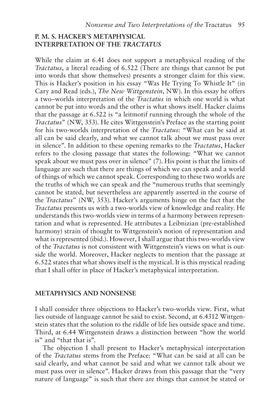# **P. M. S. HACKER'S METAPHYSICAL INTERPRETATION OF THE** *TRACTATUS*

While the claim at 6.41 does not support a metaphysical reading of the *Tractatus*, a literal reading of 6.522 (There are things that cannot be put into words that show themselves) presents a stronger claim for this view. This is Hacker's position in his essay "Was He Trying To Whistle It" (in Cary and Read (eds.), *The New Wittgenstein*, NW). In this essay he offers a two–worlds interpretation of the *Tractatus* in which one world is what cannot be put into words and the other is what shows itself. Hacker claims that the passage at 6.522 is "a leitmotif running through the whole of the *Tractatus*" (NW, 353). He cites Wittgenstein's Preface as the starting point for his two-worlds interpretation of the *Tractatus*: "What can be said at all can be said clearly, and what we cannot talk about we must pass over in silence". In addition to these opening remarks to the *Tractatus*, Hacker refers to the closing passage that states the following: "What we cannot speak about we must pass over in silence" (7). His point is that the limits of language are such that there are things of which we can speak and a world of things of which we cannot speak. Corresponding to these two worlds are the truths of which we can speak and the "numerous truths that seemingly cannot be stated, but nevertheless are apparently asserted in the course of the *Tractatus*" (NW, 353). Hacker's arguments hinge on the fact that the *Tractatus* presents us with a two-worlds view of knowledge and reality. He understands this two-worlds view in terms of a harmony between representation and what is represented. He attributes a Leibnizian (pre-established harmony) strain of thought to Wittgenstein's notion of representation and what is represented (ibid.). However, I shall argue that this two-worlds view of the *Tractatus* is not consistent with Wittgenstein's views on what is outside the world. Moreover, Hacker neglects to mention that the passage at 6.522 states that what shows itself is the mystical. It is this mystical reading that I shall offer in place of Hacker's metaphysical interpretation.

#### **METAPHYSICS AND NONSENSE**

I shall consider three objections to Hacker's two-worlds view. First, what lies outside of language cannot be said to exist. Second, at 6.4312 Wittgenstein states that the solution to the riddle of life lies outside space and time. Third, at 6.44 Wittgenstein draws a distinction between "how the world is" and "that that is".

The objection I shall present to Hacker's metaphysical interpretation of the *Tractatus* stems from the Preface: "What can be said at all can be said clearly, and what cannot be said and what we cannot talk about we must pass over in silence". Hacker draws from this passage that the "very nature of language" is such that there are things that cannot be stated or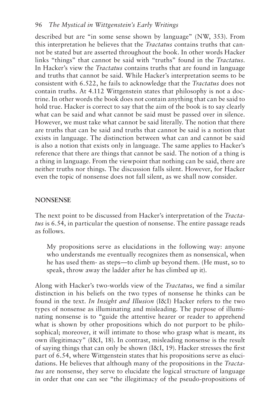described but are "in some sense shown by language" (NW, 353). From this interpretation he believes that the *Tractatus* contains truths that cannot be stated but are asserted throughout the book. In other words Hacker links "things" that cannot be said with "truths" found in the *Tractatus*. In Hacker's view the *Tractatus* contains truths that are found in language and truths that cannot be said. While Hacker's interpretation seems to be consistent with 6.522, he fails to acknowledge that the *Tractatus* does not contain truths. At 4.112 Wittgenstein states that philosophy is not a doctrine. In other words the book does not contain anything that can be said to hold true. Hacker is correct to say that the aim of the book is to say clearly what can be said and what cannot be said must be passed over in silence. However, we must take what cannot be said literally. The notion that there are truths that can be said and truths that cannot be said is a notion that exists in language. The distinction between what can and cannot be said is also a notion that exists only in language. The same applies to Hacker's reference that there are things that cannot be said. The notion of a thing is a thing in language. From the viewpoint that nothing can be said, there are neither truths nor things. The discussion falls silent. However, for Hacker even the topic of nonsense does not fall silent, as we shall now consider.

# **NONSENSE**

The next point to be discussed from Hacker's interpretation of the *Tractatus* is 6.54, in particular the question of nonsense. The entire passage reads as follows.

My propositions serve as elucidations in the following way: anyone who understands me eventually recognizes them as nonsensical, when he has used them- as steps—to climb up beyond them. (He must, so to speak, throw away the ladder after he has climbed up it).

Along with Hacker's two-worlds view of the *Tractatus*, we find a similar distinction in his beliefs on the two types of nonsense he thinks can be found in the text. *In Insight and Illusion* (I&I) Hacker refers to the two types of nonsense as illuminating and misleading. The purpose of illuminating nonsense is to "guide the attentive hearer or reader to apprehend what is shown by other propositions which do not purport to be philosophical; moreover, it will intimate to those who grasp what is meant, its own illegitimacy" (I&I, 18). In contrast, misleading nonsense is the result of saying things that can only be shown  $(1&1, 19)$ . Hacker stresses the first part of 6.54, where Wittgenstein states that his propositions serve as elucidations. He believes that although many of the propositions in the *Tractatus* are nonsense, they serve to elucidate the logical structure of language in order that one can see "the illegitimacy of the pseudo-propositions of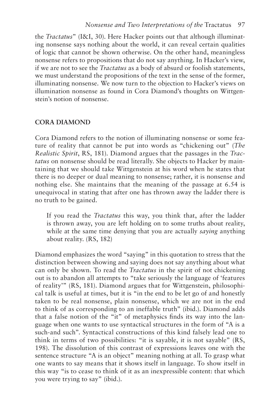the *Tractatus*" (I&I, 30). Here Hacker points out that although illuminating nonsense says nothing about the world, it can reveal certain qualities of logic that cannot be shown otherwise. On the other hand, meaningless nonsense refers to propositions that do not say anything. In Hacker's view, if we are not to see the *Tractatus* as a body of absurd or foolish statements, we must understand the propositions of the text in the sense of the former, illuminating nonsense. We now turn to the objection to Hacker's views on illumination nonsense as found in Cora Diamond's thoughts on Wittgenstein's notion of nonsense.

#### **CORA DIAMOND**

Cora Diamond refers to the notion of illuminating nonsense or some feature of reality that cannot be put into words as "chickening out" (*The Realistic Spirit*, RS, 181). Diamond argues that the passages in the *Tractatus* on nonsense should be read literally. She objects to Hacker by maintaining that we should take Wittgenstein at his word when he states that there is no deeper or dual meaning to nonsense; rather, it is nonsense and nothing else. She maintains that the meaning of the passage at 6.54 is unequivocal in stating that after one has thrown away the ladder there is no truth to be gained.

If you read the *Tractatus* this way, you think that, after the ladder is thrown away, you are left holding on to some truths about reality, while at the same time denying that you are actually *saying* anything about reality. (RS, 182)

Diamond emphasizes the word "saying" in this quotation to stress that the distinction between showing and saying does not say anything about what can only be shown. To read the *Tractatus* in the spirit of not chickening out is to abandon all attempts to "take seriously the language of 'features of reality'" (RS, 181). Diamond argues that for Wittgenstein, philosophical talk is useful at times, but it is "in the end to be let go of and honestly taken to be real nonsense, plain nonsense, which we are not in the end to think of as corresponding to an ineffable truth" (ibid.). Diamond adds that a false notion of the "it" of metaphysics finds its way into the language when one wants to use syntactical structures in the form of "A is a such-and such". Syntactical constructions of this kind falsely lead one to think in terms of two possibilities: "it is sayable, it is not sayable" (RS, 198). The dissolution of this contrast of expressions leaves one with the sentence structure "A is an object" meaning nothing at all. To grasp what one wants to say means that it shows itself in language. To show itself in this way "is to cease to think of it as an inexpressible content: that which you were trying to say" (ibid.).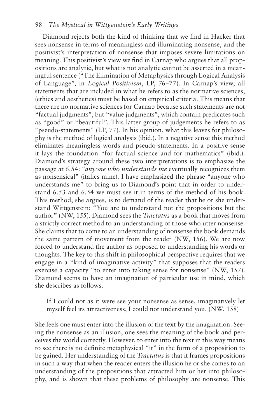#### 98 *The Mystical in Wittgenstein's Early Writings*

Diamond rejects both the kind of thinking that we find in Hacker that sees nonsense in terms of meaningless and illuminating nonsense, and the positivist's interpretation of nonsense that imposes severe limitations on meaning. This positivist's view we find in Carnap who argues that all propositions are analytic, but what is not analytic cannot be asserted in a meaningful sentence ("The Elimination of Metaphysics through Logical Analysis of Language", in *Logical Positivism*, LP, 76–77). In Carnap's view, all statements that are included in what he refers to as the normative sciences, (ethics and aesthetics) must be based on empirical criteria. This means that there are no normative sciences for Carnap because such statements are not "factual judgments", but "value judgments", which contain predicates such as "good" or "beautiful". This latter group of judgements he refers to as "pseudo-statements" (LP, 77). In his opinion, what this leaves for philosophy is the method of logical analysis (ibid.). In a negative sense this method eliminates meaningless words and pseudo-statements. In a positive sense it lays the foundation "for factual science and for mathematics" (ibid.). Diamond's strategy around these two interpretations is to emphasize the passage at 6.54: "*anyone who understands me* eventually recognizes them as nonsensical" (italics mine). I have emphasized the phrase "anyone who understands me" to bring us to Diamond's point that in order to understand 6.53 and 6.54 we must see it in terms of the method of his book. This method, she argues, is to demand of the reader that he or she understand Wittgenstein: "You are to understand not the propositions but the author" (NW, 155). Diamond sees the *Tractatus* as a book that moves from a strictly correct method to an understanding of those who utter nonsense. She claims that to come to an understanding of nonsense the book demands the same pattern of movement from the reader (NW, 156). We are now forced to understand the author as opposed to understanding his words or thoughts. The key to this shift in philosophical perspective requires that we engage in a "kind of imaginative activity" that supposes that the readers exercise a capacity "to enter into taking sense for nonsense" (NW, 157). Diamond seems to have an imagination of particular use in mind, which she describes as follows.

If I could not as it were see your nonsense as sense, imaginatively let myself feel its attractiveness, I could not understand you. (NW, 158)

She feels one must enter into the illusion of the text by the imagination. Seeing the nonsense as an illusion, one sees the meaning of the book and perceives the world correctly. However, to enter into the text in this way means to see there is no definite metaphysical "it" in the form of a proposition to be gained. Her understanding of the *Tractatus* is that it frames propositions in such a way that when the reader enters the illusion he or she comes to an understanding of the propositions that attracted him or her into philosophy, and is shown that these problems of philosophy are nonsense. This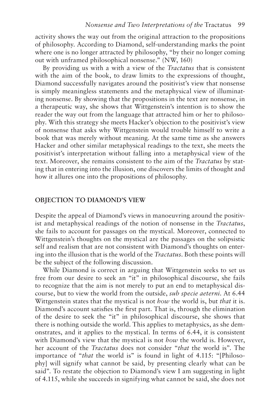activity shows the way out from the original attraction to the propositions of philosophy. According to Diamond, self-understanding marks the point where one is no longer attracted by philosophy, "by their no longer coming out with unframed philosophical nonsense." (NW, 160)

By providing us with a with a view of the *Tractatus* that is consistent with the aim of the book, to draw limits to the expressions of thought, Diamond successfully navigates around the positivist's view that nonsense is simply meaningless statements and the metaphysical view of illuminating nonsense. By showing that the propositions in the text are nonsense, in a therapeutic way, she shows that Wittgenstein's intention is to show the reader the way out from the language that attracted him or her to philosophy. With this strategy she meets Hacker's objection to the positivist's view of nonsense that asks why Wittgenstein would trouble himself to write a book that was merely without meaning. At the same time as she answers Hacker and other similar metaphysical readings to the text, she meets the positivist's interpretation without falling into a metaphysical view of the text. Moreover, she remains consistent to the aim of the *Tractatus* by stating that in entering into the illusion, one discovers the limits of thought and how it allures one into the propositions of philosophy.

#### **OBJECTION TO DIAMOND'S VIEW**

Despite the appeal of Diamond's views in manoeuvring around the positivist and metaphysical readings of the notion of nonsense in the *Tractatus*, she fails to account for passages on the mystical. Moreover, connected to Wittgenstein's thoughts on the mystical are the passages on the solipsistic self and realism that are not consistent with Diamond's thoughts on entering into the illusion that is the world of the *Tractatus*. Both these points will be the subject of the following discussion.

While Diamond is correct in arguing that Wittgenstein seeks to set us free from our desire to seek an "it" in philosophical discourse, she fails to recognize that the aim is not merely to put an end to metaphysical discourse, but to view the world from the outside, *sub specie aeterni.* At 6.44 Wittgenstein states that the mystical is not *how* the world is, but *that* it is. Diamond's account satisfies the first part. That is, through the elimination of the desire to seek the "it" in philosophical discourse, she shows that there is nothing outside the world. This applies to metaphysics, as she demonstrates, and it applies to the mystical. In terms of 6.44, it is consistent with Diamond's view that the mystical is not *how* the world is. However, her account of the *Tractatus* does not consider "*that* the world is". The importance of "*that* the world is" is found in light of 4.115: "[Philosophy] will signify what cannot be said, by presenting clearly what can be said". To restate the objection to Diamond's view I am suggesting in light of 4.115, while she succeeds in signifying what cannot be said, she does not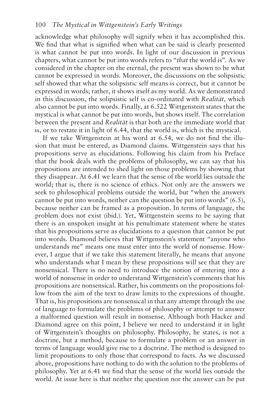acknowledge what philosophy will signify when it has accomplished this. We find that what is signified when what can be said is clearly presented is what cannot be put into words. In light of our discussion in previous chapters, what cannot be put into words refers to "*that* the world is". As we considered in the chapter on the eternal, the present was shown to be what cannot be expressed in words. Moreover, the discussions on the solipsistic self showed that what the solipsistic self means is correct, but it cannot be expressed in words; rather, it shows itself as my world. As we demonstrated in this discussion, the solipsistic self is co-ordinated with *Realität*, which also cannot be put into words. Finally, at 6.522 Wittgenstein states that the mystical is what cannot be put into words, but shows itself. The correlation between the present and *Realität* is that both are the immediate world that is, or to restate it in light of 6.44, that the world is, which is the mystical.

If we take Wittgenstein at his word at 6.54, we do not find the illusion that must be entered, as Diamond claims. Wittgenstein says that his propositions serve as elucidations. Following his claim from his Preface that the book deals with the problems of philosophy, we can say that his propositions are intended to shed light on those problems by showing that they disappear. At 6.41 we learn that the sense of the world lies outside the world; that is, there is no science of ethics. Not only are the answers we seek to philosophical problems outside the world, but "when the answers cannot be put into words, neither can the question be put into words" (6.5), because neither can be framed as a proposition. In terms of language, the problem does not exist (ibid.). Yet, Wittgenstein seems to be saying that there is an unspoken insight at his penultimate statement where he states that his propositions serve as elucidations to a question that cannot be put into words. Diamond believes that Wittgenstein's statement "anyone who understands me" means one must enter into the world of nonsense. However, I argue that if we take this statement literally, he means that anyone who understands what I mean by these propositions will see that they are nonsensical. There is no need to introduce the notion of entering into a world of nonsense in order to understand Wittgenstein's comments that his propositions are nonsensical. Rather, his comments on the propositions follow from the aim of the text to draw limits to the expressions of thought. That is, his propositions are nonsensical in that any attempt through the use of language to formulate the problems of philosophy or attempt to answer a malformed question will result in nonsense. Although both Hacker and Diamond agree on this point, I believe we need to understand it in light of Wittgenstein's thoughts on philosophy. Philosophy, he states, is not a doctrine, but a method, because to formulate a problem or an answer in terms of language would give rise to a doctrine. The method is designed to limit propositions to only those that correspond to facts. As we discussed above, propositions have nothing to do with the solution to the problems of philosophy. Yet at 6.41 we find that the sense of the world lies outside the world. At issue here is that neither the question nor the answer can be put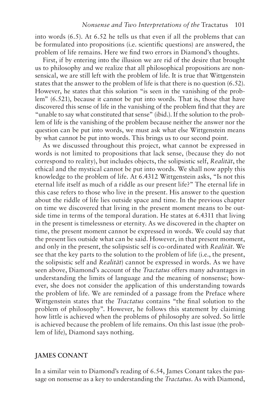into words (6.5). At 6.52 he tells us that even if all the problems that can be formulated into propositions (i.e. scientific questions) are answered, the problem of life remains. Here we find two errors in Diamond's thoughts.

First, if by entering into the illusion we are rid of the desire that brought us to philosophy and we realize that all philosophical propositions are nonsensical, we are still left with the problem of life. It is true that Wittgenstein states that the answer to the problem of life is that there is no question (6.52). However, he states that this solution "is seen in the vanishing of the problem" (6.521), because it cannot be put into words. That is, those that have discovered this sense of life in the vanishing of the problem find that they are "unable to say what constituted that sense" (ibid.). If the solution to the problem of life is the vanishing of the problem because neither the answer nor the question can be put into words, we must ask what else Wittgenstein means by what cannot be put into words. This brings us to our second point.

As we discussed throughout this project, what cannot be expressed in words is not limited to propositions that lack sense, (because they do not correspond to reality), but includes objects, the solipsistic self, *Realität*, the ethical and the mystical cannot be put into words. We shall now apply this knowledge to the problem of life. At 6.4312 Wittgenstein asks, "Is not this eternal life itself as much of a riddle as our present life?" The eternal life in this case refers to those who live in the present. His answer to the question about the riddle of life lies outside space and time. In the previous chapter on time we discovered that living in the present moment means to be outside time in terms of the temporal duration. He states at 6.4311 that living in the present is timelessness or eternity. As we discovered in the chapter on time, the present moment cannot be expressed in words. We could say that the present lies outside what can be said. However, in that present moment, and only in the present, the solipsistic self is co-ordinated with *Realität*. We see that the key parts to the solution to the problem of life (i.e., the present, the solipsistic self and *Realität*) cannot be expressed in words. As we have seen above, Diamond's account of the *Tractatus* offers many advantages in understanding the limits of language and the meaning of nonsense; however, she does not consider the application of this understanding towards the problem of life. We are reminded of a passage from the Preface where Wittgenstein states that the *Tractatus* contains "the final solution to the problem of philosophy". However, he follows this statement by claiming how little is achieved when the problems of philosophy are solved. So little is achieved because the problem of life remains. On this last issue (the problem of life), Diamond says nothing.

#### **JAMES CONANT**

In a similar vein to Diamond's reading of 6.54, James Conant takes the passage on nonsense as a key to understanding the *Tractatus*. As with Diamond,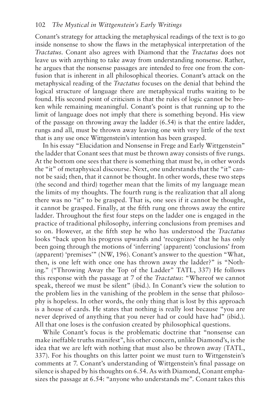Conant's strategy for attacking the metaphysical readings of the text is to go inside nonsense to show the flaws in the metaphysical interpretation of the *Tractatus*. Conant also agrees with Diamond that the *Tractatus* does not leave us with anything to take away from understanding nonsense. Rather, he argues that the nonsense passages are intended to free one from the confusion that is inherent in all philosophical theories. Conant's attack on the metaphysical reading of the *Tractatus* focuses on the denial that behind the logical structure of language there are metaphysical truths waiting to be found. His second point of criticism is that the rules of logic cannot be broken while remaining meaningful. Conant's point is that running up to the limit of language does not imply that there is something beyond. His view of the passage on throwing away the ladder (6.54) is that the entire ladder, rungs and all, must be thrown away leaving one with very little of the text that is any use once Wittgenstein's intention has been grasped.

In his essay "Elucidation and Nonsense in Frege and Early Wittgenstein" the ladder that Conant sees that must be thrown away consists of five rungs. At the bottom one sees that there is something that must be, in other words the "it" of metaphysical discourse. Next, one understands that the "it" cannot be said; then, that it cannot be thought. In other words, these two steps (the second and third) together mean that the limits of my language mean the limits of my thoughts. The fourth rung is the realization that all along there was no "it" to be grasped. That is, one sees if it cannot be thought, it cannot be grasped. Finally, at the fifth rung one throws away the entire ladder. Throughout the first four steps on the ladder one is engaged in the practice of traditional philosophy, inferring conclusions from premises and so on. However, at the fifth step he who has understood the *Tractatus* looks "back upon his progress upwards and 'recognizes' that he has only been going through the motions of 'inferring' (apparent) 'conclusions' from (apparent) 'premises'" (NW, 196). Conant's answer to the question "What, then, is one left with once one has thrown away the ladder?" is "Nothing." ("Throwing Away the Top of the Ladder" TATL, 337) He follows this response with the passage at 7 of the *Tractatus*: "Whereof we cannot speak, thereof we must be silent" (ibid.). In Conant's view the solution to the problem lies in the vanishing of the problem in the sense that philosophy is hopeless. In other words, the only thing that is lost by this approach is a house of cards. He states that nothing is really lost because "you are never deprived of anything that you never had or could have had" (ibid.). All that one loses is the confusion created by philosophical questions.

While Conant's focus is the problematic doctrine that "nonsense can make ineffable truths manifest", his other concern, unlike Diamond's, is the idea that we are left with nothing that must also be thrown away (TATL, 337). For his thoughts on this latter point we must turn to Wittgenstein's comments at 7. Conant's understanding of Wittgenstein's final passage on silence is shaped by his thoughts on 6.54. As with Diamond, Conant emphasizes the passage at 6.54: "anyone who understands me". Conant takes this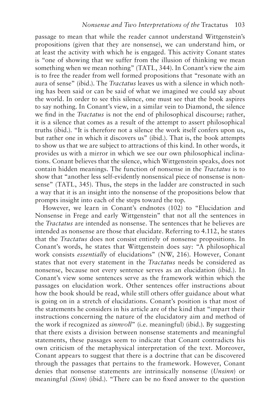passage to mean that while the reader cannot understand Wittgenstein's propositions (given that they are nonsense), we can understand him, or at least the activity with which he is engaged. This activity Conant states is "one of showing that we suffer from the illusion of thinking we mean something when we mean nothing" (TATL, 344). In Conant's view the aim is to free the reader from well formed propositions that "resonate with an aura of sense" (ibid.). The *Tractatus* leaves us with a silence in which nothing has been said or can be said of what we imagined we could say about the world. In order to see this silence, one must see that the book aspires to say nothing. In Conant's view, in a similar vein to Diamond, the silence we find in the *Tractatus* is not the end of philosophical discourse; rather, it is a silence that comes as a result of the attempt to assert philosophical truths (ibid.). "It is therefore not a silence the work itself confers upon us, but rather one in which it discovers us" (ibid.). That is, the book attempts to show us that we are subject to attractions of this kind. In other words, it provides us with a mirror in which we see our own philosophical inclinations. Conant believes that the silence, which Wittgenstein speaks, does not contain hidden meanings. The function of nonsense in the *Tractatus* is to show that "another less self-evidently nonsensical piece of nonsense is nonsense" (TATL, 345). Thus, the steps in the ladder are constructed in such a way that it is an insight into the nonsense of the propositions below that prompts insight into each of the steps toward the top.

However, we learn in Conant's endnotes (102) to "Elucidation and Nonsense in Frege and early Wittgenstein" that not all the sentences in the *Tractatus* are intended as nonsense. The sentences that he believes are intended as nonsense are those that elucidate. Referring to 4.112, he states that the *Tractatus* does not consist entirely of nonsense propositions. In Conant's words, he states that Wittgenstein does say: "A philosophical work consists *essentially* of elucidations" (NW, 216). However, Conant states that not every statement in the *Tractatus* needs be considered as nonsense, because not every sentence serves as an elucidation (ibid.). In Conant's view some sentences serve as the framework within which the passages on elucidation work. Other sentences offer instructions about how the book should be read, while still others offer guidance about what is going on in a stretch of elucidations. Conant's position is that most of the statements he considers in his article are of the kind that "impart their instructions concerning the nature of the elucidatory aim and method of the work if recognized as *sinnvoll*" (i.e. meaningful) (ibid.). By suggesting that there exists a division between nonsense statements and meaningful statements, these passages seem to indicate that Conant contradicts his own criticism of the metaphysical interpretation of the text. Moreover, Conant appears to suggest that there is a doctrine that can be discovered through the passages that pertains to the framework. However, Conant denies that nonsense statements are intrinsically nonsense (*Unsinn*) or meaningful *(Sinn)* (ibid.). "There can be no fixed answer to the question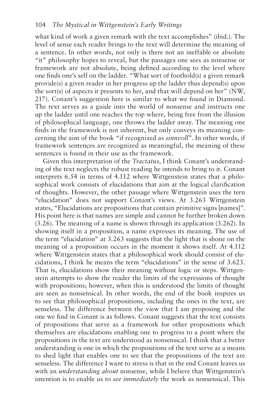what kind of work a given remark with the text accomplishes" (ibid.). The level of sense each reader brings to the text will determine the meaning of a sentence. In other words, not only is there not an ineffable or absolute "it" philosophy hopes to reveal, but the passages one sees as nonsense or framework are not absolute, being defined according to the level where one finds one's self on the ladder. "What sort of foothold(s) a given remark provide(s) a given reader in her progress up the ladder thus depend(s) upon the sort(s) of aspects it presents to her, and that will depend on her" (NW, 217). Conant's suggestion here is similar to what we found in Diamond. The text serves as a guide into the world of nonsense and instructs one up the ladder until one reaches the top where, being free from the illusion of philosophical language, one throws the ladder away. The meaning one finds in the framework is not inherent, but only conveys its meaning concerning the aim of the book "if recognized as *sinnvoll*". In other words, if framework sentences are recognized as meaningful, the meaning of these sentences is found in their use as the framework.

Given this interpretation of the *Tractatus*, I think Conant's understanding of the text neglects the robust reading he intends to bring to it. Conant interprets 6.54 in terms of 4.112 where Wittgenstein states that a philosophical work consists of elucidations that aim at the logical clarification of thoughts. However, the other passage where Wittgenstein uses the tern "elucidation" does not support Conant's views. At 3.263 Wittgenstein states, "Elucidations are propositions that contain primitive signs [names]". His point here is that names are simple and cannot be further broken down (3.26). The meaning of a name is shown through its application (3.262). In showing itself in a proposition, a name expresses its meaning. The use of the term "elucidation" at 3.263 suggests that the light that is shone on the meaning of a proposition occurs in the moment it shows itself. At 4.112 where Wittgenstein states that a philosophical work should consist of elucidations, I think he means the term "elucidations" in the sense of 3.623. That is, elucidations show their meaning without logic or steps. Wittgenstein attempts to show the reader the limits of the expressions of thought with propositions; however, when this is understood the limits of thought are seen as nonsensical. In other words, the end of the book inspires us to see that philosophical propositions, including the ones in the text, are senseless. The difference between the view that I am proposing and the one we find in Conant is as follows. Conant suggests that the text consists of propositions that serve as a framework for other propositions which themselves are elucidations enabling one to progress to a point where the propositions in the text are understood as nonsensical. I think that a better understanding is one in which the propositions of the text serve as a means to shed light that enables one to see that the propositions of the text are senseless. The difference I want to stress is that in the end Conant leaves us with an *understanding about* nonsense, while I believe that Wittgenstein's intention is to enable us to *see immediately* the work as nonsensical. This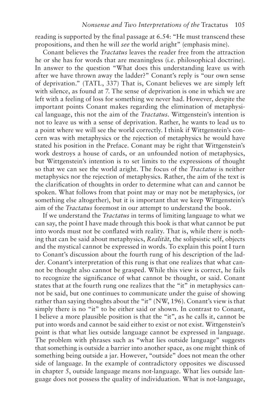reading is supported by the final passage at 6.54: "He must transcend these propositions, and then he will *see* the world aright" (emphasis mine).

Conant believes the *Tractatus* leaves the reader free from the attraction he or she has for words that are meaningless (i.e. philosophical doctrine). In answer to the question "What does this understanding leave us with after we have thrown away the ladder?" Conant's reply is "our own sense of deprivation." (TATL, 337) That is, Conant believes we are simply left with silence, as found at 7. The sense of deprivation is one in which we are left with a feeling of loss for something we never had. However, despite the important points Conant makes regarding the elimination of metaphysical language, this not the aim of the *Tractatus*. Wittgenstein's intention is not to leave us with a sense of deprivation. Rather, he wants to lead us to a point where we will see the world correctly. I think if Wittgenstein's concern was with metaphysics or the rejection of metaphysics he would have stated his position in the Preface. Conant may be right that Wittgenstein's work destroys a house of cards, or an unfounded notion of metaphysics, but Wittgenstein's intention is to set limits to the expressions of thought so that we can see the world aright. The focus of the *Tractatus* is neither metaphysics nor the rejection of metaphysics. Rather, the aim of the text is the clarification of thoughts in order to determine what can and cannot be spoken. What follows from that point may or may not be metaphysics, (or something else altogether), but it is important that we keep Wittgenstein's aim of the *Tractatus* foremost in our attempt to understand the book.

If we understand the *Tractatus* in terms of limiting language to what we can say, the point I have made through this book is that what cannot be put into words must not be conflated with reality. That is, while there is nothing that can be said about metaphysics, *Realität*, the solipsistic self, objects and the mystical cannot be expressed in words. To explain this point I turn to Conant's discussion about the fourth rung of his description of the ladder. Conant's interpretation of this rung is that one realizes that what cannot be thought also cannot be grasped. While this view is correct, he fails to recognize the significance of what cannot be thought, or said. Conant states that at the fourth rung one realizes that the "it" in metaphysics cannot be said, but one continues to communicate under the guise of showing rather than saying thoughts about the "it" (NW, 196). Conant's view is that simply there is no "it" to be either said or shown. In contrast to Conant, I believe a more plausible position is that the "it", as he calls it, cannot be put into words and cannot be said either to exist or not exist. Wittgenstein's point is that what lies outside language cannot be expressed in language. The problem with phrases such as "what lies outside language" suggests that something is outside a barrier into another space, as one might think of something being outside a jar. However, "outside" does not mean the other side of language. In the example of contradictory opposites we discussed in chapter 5, outside language means not-language. What lies outside language does not possess the quality of individuation. What is not-language,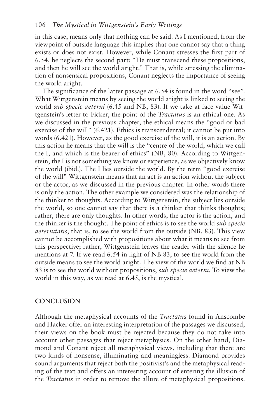in this case, means only that nothing can be said. As I mentioned, from the viewpoint of outside language this implies that one cannot say that a thing exists or does not exist. However, while Conant stresses the first part of 6.54, he neglects the second part: "He must transcend these propositions, and then he will see the world aright." That is, while stressing the elimination of nonsensical propositions, Conant neglects the importance of seeing the world aright.

The significance of the latter passage at 6.54 is found in the word "see". What Wittgenstein means by seeing the world aright is linked to seeing the world *sub specie aeterni* (6.45 and NB, 83). If we take at face value Wittgenstein's letter to Ficker, the point of the *Tractatus* is an ethical one. As we discussed in the previous chapter, the ethical means the "good or bad exercise of the will" (6.421). Ethics is transcendental; it cannot be put into words (6.421). However, as the good exercise of the will, it is an action. By this action he means that the will is the "centre of the world, which we call the I, and which is the bearer of ethics" (NB, 80). According to Wittgenstein, the I is not something we know or experience, as we objectively know the world (ibid.). The I lies outside the world. By the term "good exercise of the will" Wittgenstein means that an act is an action without the subject or the actor, as we discussed in the previous chapter. In other words there is only the action. The other example we considered was the relationship of the thinker to thoughts. According to Wittgenstein, the subject lies outside the world, so one cannot say that there is a thinker that thinks thoughts; rather, there are only thoughts. In other words, the actor is the action, and the thinker is the thought. The point of ethics is to see the world *sub specie aeternitatis*; that is, to see the world from the outside (NB, 83). This view cannot be accomplished with propositions about what it means to see from this perspective; rather, Wittgenstein leaves the reader with the silence he mentions at 7. If we read 6.54 in light of NB 83, to see the world from the outside means to see the world aright. The view of the world we find at NB 83 is to see the world without propositions, *sub specie aeterni*. To view the world in this way, as we read at 6.45, is the mystical.

#### **CONCLUSION**

Although the metaphysical accounts of the *Tractatus* found in Anscombe and Hacker offer an interesting interpretation of the passages we discussed, their views on the book must be rejected because they do not take into account other passages that reject metaphysics. On the other hand, Diamond and Conant reject all metaphysical views, including that there are two kinds of nonsense, illuminating and meaningless. Diamond provides sound arguments that reject both the positivist's and the metaphysical reading of the text and offers an interesting account of entering the illusion of the *Tractatus* in order to remove the allure of metaphysical propositions.